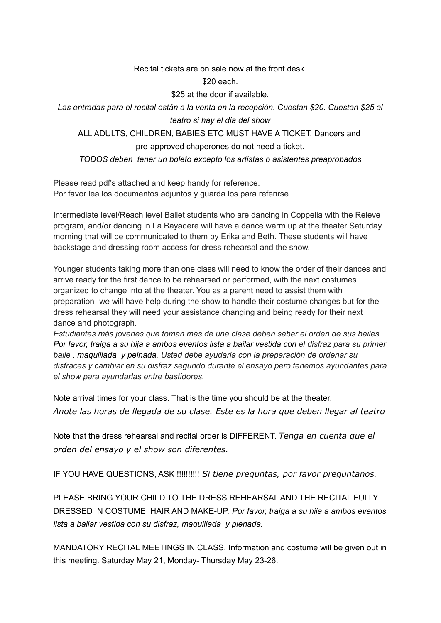## Recital tickets are on sale now at the front desk.

\$20 each.

\$25 at the door if available.

*Las entradas para el recital están a la venta en la recepción. Cuestan \$20. Cuestan \$25 al teatro si hay el dia del show*

ALL ADULTS, CHILDREN, BABIES ETC MUST HAVE A TICKET. Dancers and pre-approved chaperones do not need a ticket.

*TODOS deben tener un boleto excepto los artistas o asistentes preaprobados*

Please read pdf's attached and keep handy for reference. Por favor lea los documentos adjuntos y guarda los para referirse.

Intermediate level/Reach level Ballet students who are dancing in Coppelia with the Releve program, and/or dancing in La Bayadere will have a dance warm up at the theater Saturday morning that will be communicated to them by Erika and Beth. These students will have backstage and dressing room access for dress rehearsal and the show.

Younger students taking more than one class will need to know the order of their dances and arrive ready for the first dance to be rehearsed or performed, with the next costumes organized to change into at the theater. You as a parent need to assist them with preparation- we will have help during the show to handle their costume changes but for the dress rehearsal they will need your assistance changing and being ready for their next dance and photograph.

*Estudiantes más jóvenes que toman más de una clase deben saber el orden de sus bailes.* Por favor, traiga a su hija a ambos eventos lista a bailar vestida con el disfraz para su primer *baile , maquillada y peinada. Usted debe ayudarla con la preparación de ordenar su disfraces y cambiar en su disfraz segundo durante el ensayo pero tenemos ayundantes para el show para ayundarlas entre bastidores.*

Note arrival times for your class. That is the time you should be at the theater. *Anote las horas de llegada de su clase. Este es la hora que deben llegar al teatro*

Note that the dress rehearsal and recital order is DIFFERENT. *Tenga en cuenta que el orden del ensayo y el show son diferentes.*

IF YOU HAVE QUESTIONS, ASK !!!!!!!!!! *Si tiene preguntas, por favor preguntanos.*

PLEASE BRING YOUR CHILD TO THE DRESS REHEARSAL AND THE RECITAL FULLY DRESSED IN COSTUME, HAIR AND MAKE-UP. *Por favor, traiga a su hija a ambos eventos lista a bailar vestida con su disfraz, maquillada y pienada.*

MANDATORY RECITAL MEETINGS IN CLASS. Information and costume will be given out in this meeting. Saturday May 21, Monday- Thursday May 23-26.